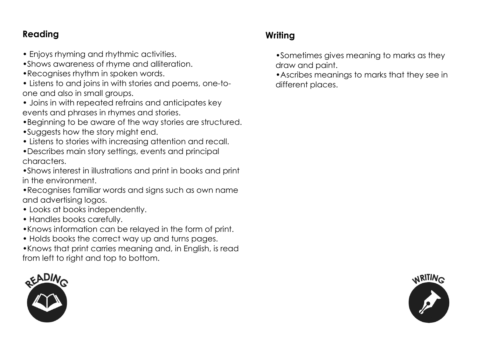## Reading

- Enjoys rhyming and rhythmic activities.
- •Shows awareness of rhyme and alliteration.
- •Recognises rhythm in spoken words.
- Listens to and joins in with stories and poems, one-toone and also in small groups.
- Joins in with repeated refrains and anticipates key events and phrases in rhymes and stories.
- •Beginning to be aware of the way stories are structured.
- •Suggests how the story might end.
- Listens to stories with increasing attention and recall.
- •Describes main story settings, events and principal characters.
- •Shows interest in illustrations and print in books and print in the environment.
- •Recognises familiar words and signs such as own name and advertising logos.
- Looks at books independently.
- Handles books carefully.
- •Knows information can be relayed in the form of print.
- Holds books the correct way up and turns pages.
- •Knows that print carries meaning and, in English, is read from left to right and top to bottom.



## **Writing**

•Sometimes gives meaning to marks as they draw and paint.

•Ascribes meanings to marks that they see in different places.